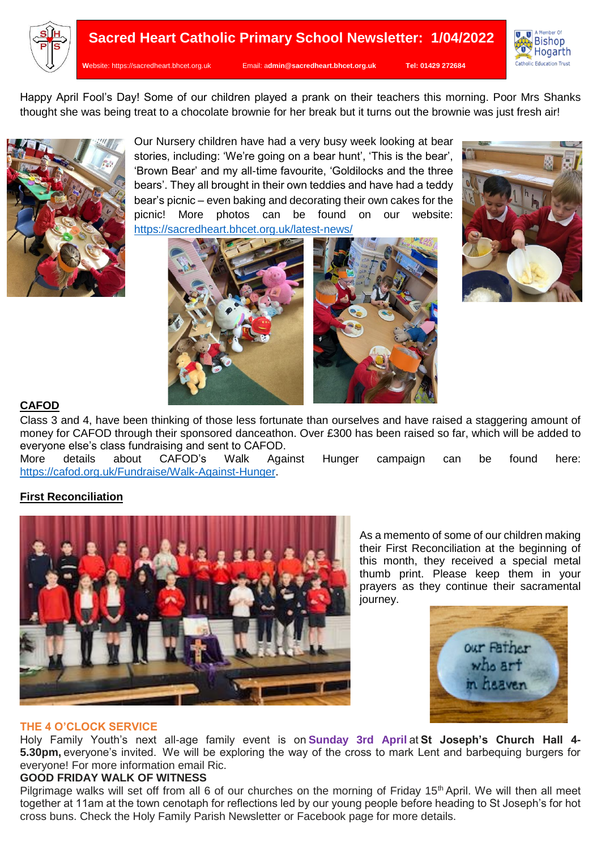



Happy April Fool's Day! Some of our children played a prank on their teachers this morning. Poor Mrs Shanks thought she was being treat to a chocolate brownie for her break but it turns out the brownie was just fresh air!



Our Nursery children have had a very busy week looking at bear stories, including: 'We're going on a bear hunt', 'This is the bear', 'Brown Bear' and my all-time favourite, 'Goldilocks and the three bears'. They all brought in their own teddies and have had a teddy bear's picnic – even baking and decorating their own cakes for the picnic! More photos can be found on our website: <https://sacredheart.bhcet.org.uk/latest-news/>





# **CAFOD**

Class 3 and 4, have been thinking of those less fortunate than ourselves and have raised a staggering amount of money for CAFOD through their sponsored danceathon. Over £300 has been raised so far, which will be added to everyone else's class fundraising and sent to CAFOD.<br>More details about CAFOD's Walk Aga

More details about CAFOD's Walk Against Hunger campaign can be found here: [https://cafod.org.uk/Fundraise/Walk-Against-Hunger.](https://cafod.org.uk/Fundraise/Walk-Against-Hunger)

## **First Reconciliation**



As a memento of some of our children making their First Reconciliation at the beginning of this month, they received a special metal thumb print. Please keep them in your prayers as they continue their sacramental journey.



### **THE 4 O'CLOCK SERVICE**

Holy Family Youth's next all-age family event is on **Sunday 3rd April** at **St Joseph's Church Hall 4- 5.30pm,** everyone's invited.  We will be exploring the way of the cross to mark Lent and barbequing burgers for everyone! For more information email Ric.

## **GOOD FRIDAY WALK OF WITNESS**

Pilgrimage walks will set off from all 6 of our churches on the morning of Friday 15<sup>th</sup> April. We will then all meet together at 11am at the town cenotaph for reflections led by our young people before heading to St Joseph's for hot cross buns. Check the Holy Family Parish Newsletter or Facebook page for more details.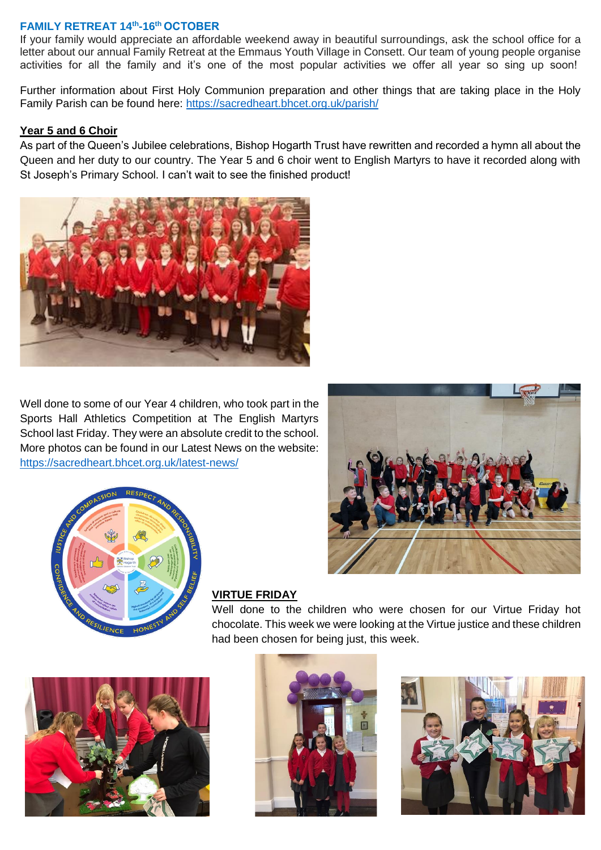### **FAMILY RETREAT 14th -16th OCTOBER**

If your family would appreciate an affordable weekend away in beautiful surroundings, ask the school office for a letter about our annual Family Retreat at the Emmaus Youth Village in Consett. Our team of young people organise activities for all the family and it's one of the most popular activities we offer all year so sing up soon!

Further information about First Holy Communion preparation and other things that are taking place in the Holy Family Parish can be found here:<https://sacredheart.bhcet.org.uk/parish/>

#### **Year 5 and 6 Choir**

As part of the Queen's Jubilee celebrations, Bishop Hogarth Trust have rewritten and recorded a hymn all about the Queen and her duty to our country. The Year 5 and 6 choir went to English Martyrs to have it recorded along with St Joseph's Primary School. I can't wait to see the finished product!



Well done to some of our Year 4 children, who took part in the Sports Hall Athletics Competition at The English Martyrs School last Friday. They were an absolute credit to the school. More photos can be found in our Latest News on the website: <https://sacredheart.bhcet.org.uk/latest-news/>





### **VIRTUE FRIDAY**

Well done to the children who were chosen for our Virtue Friday hot chocolate. This week we were looking at the Virtue justice and these children had been chosen for being just, this week.